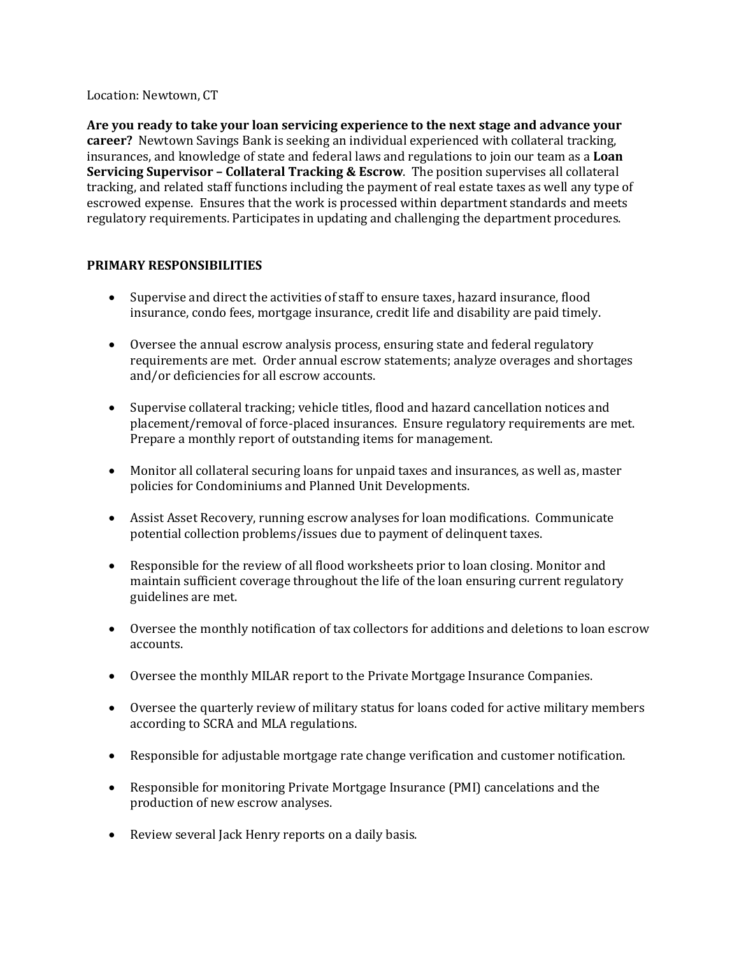Location: Newtown, CT

**Are you ready to take your loan servicing experience to the next stage and advance your career?** Newtown Savings Bank is seeking an individual experienced with collateral tracking, insurances, and knowledge of state and federal laws and regulations to join our team as a **Loan Servicing Supervisor – Collateral Tracking & Escrow**. The position supervises all collateral tracking, and related staff functions including the payment of real estate taxes as well any type of escrowed expense. Ensures that the work is processed within department standards and meets regulatory requirements. Participates in updating and challenging the department procedures.

# **PRIMARY RESPONSIBILITIES**

- Supervise and direct the activities of staff to ensure taxes, hazard insurance, flood insurance, condo fees, mortgage insurance, credit life and disability are paid timely.
- Oversee the annual escrow analysis process, ensuring state and federal regulatory requirements are met. Order annual escrow statements; analyze overages and shortages and/or deficiencies for all escrow accounts.
- Supervise collateral tracking; vehicle titles, flood and hazard cancellation notices and placement/removal of force-placed insurances. Ensure regulatory requirements are met. Prepare a monthly report of outstanding items for management.
- Monitor all collateral securing loans for unpaid taxes and insurances, as well as, master policies for Condominiums and Planned Unit Developments.
- Assist Asset Recovery, running escrow analyses for loan modifications. Communicate potential collection problems/issues due to payment of delinquent taxes.
- Responsible for the review of all flood worksheets prior to loan closing. Monitor and maintain sufficient coverage throughout the life of the loan ensuring current regulatory guidelines are met.
- Oversee the monthly notification of tax collectors for additions and deletions to loan escrow accounts.
- Oversee the monthly MILAR report to the Private Mortgage Insurance Companies.
- Oversee the quarterly review of military status for loans coded for active military members according to SCRA and MLA regulations.
- Responsible for adjustable mortgage rate change verification and customer notification.
- Responsible for monitoring Private Mortgage Insurance (PMI) cancelations and the production of new escrow analyses.
- Review several Jack Henry reports on a daily basis.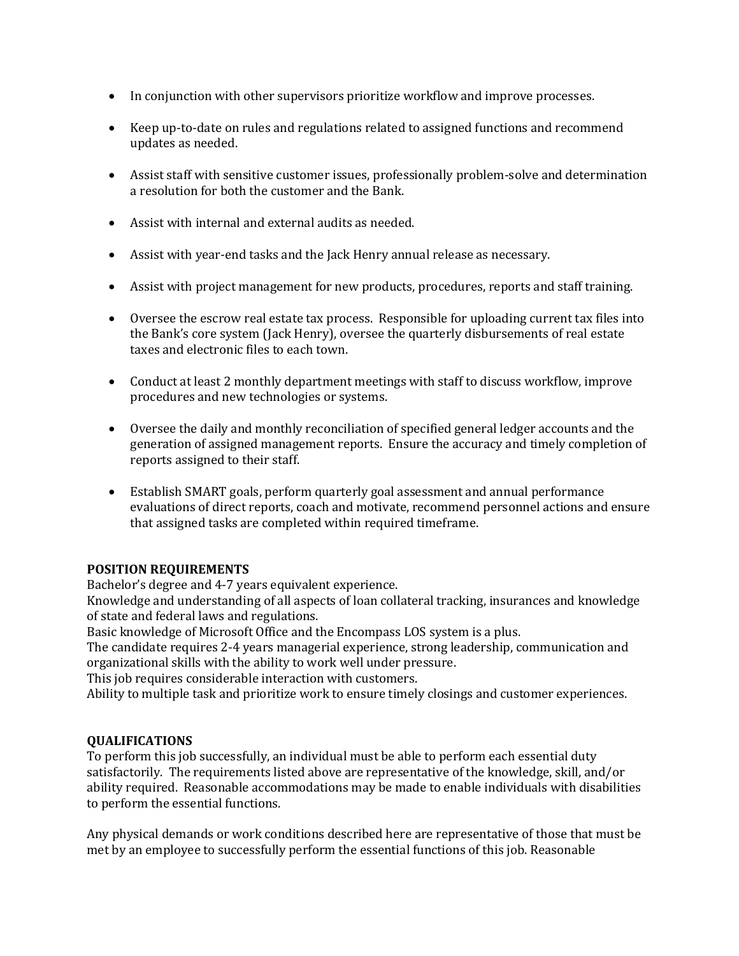- In conjunction with other supervisors prioritize workflow and improve processes.
- Keep up-to-date on rules and regulations related to assigned functions and recommend updates as needed.
- Assist staff with sensitive customer issues, professionally problem-solve and determination a resolution for both the customer and the Bank.
- Assist with internal and external audits as needed.
- Assist with year-end tasks and the Jack Henry annual release as necessary.
- Assist with project management for new products, procedures, reports and staff training.
- Oversee the escrow real estate tax process. Responsible for uploading current tax files into the Bank's core system (Jack Henry), oversee the quarterly disbursements of real estate taxes and electronic files to each town.
- Conduct at least 2 monthly department meetings with staff to discuss workflow, improve procedures and new technologies or systems.
- Oversee the daily and monthly reconciliation of specified general ledger accounts and the generation of assigned management reports. Ensure the accuracy and timely completion of reports assigned to their staff.
- Establish SMART goals, perform quarterly goal assessment and annual performance evaluations of direct reports, coach and motivate, recommend personnel actions and ensure that assigned tasks are completed within required timeframe.

### **POSITION REQUIREMENTS**

Bachelor's degree and 4-7 years equivalent experience.

Knowledge and understanding of all aspects of loan collateral tracking, insurances and knowledge of state and federal laws and regulations.

Basic knowledge of Microsoft Office and the Encompass LOS system is a plus.

The candidate requires 2-4 years managerial experience, strong leadership, communication and organizational skills with the ability to work well under pressure.

This job requires considerable interaction with customers.

Ability to multiple task and prioritize work to ensure timely closings and customer experiences.

### **QUALIFICATIONS**

To perform this job successfully, an individual must be able to perform each essential duty satisfactorily. The requirements listed above are representative of the knowledge, skill, and/or ability required. Reasonable accommodations may be made to enable individuals with disabilities to perform the essential functions.

Any physical demands or work conditions described here are representative of those that must be met by an employee to successfully perform the essential functions of this job. Reasonable